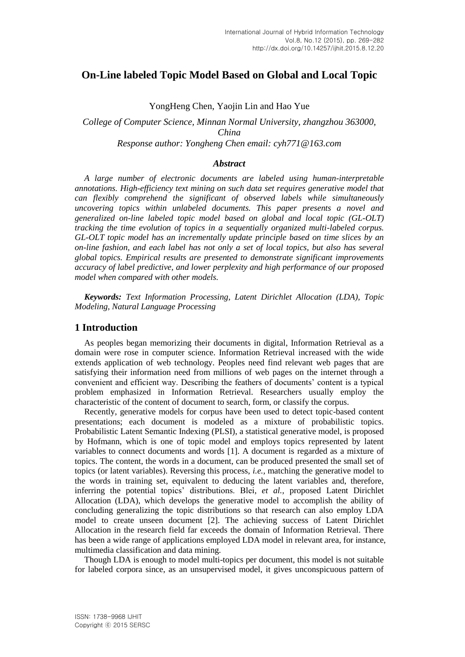# **On-Line labeled Topic Model Based on Global and Local Topic**

YongHeng Chen, Yaojin Lin and Hao Yue

*College of Computer Science, Minnan Normal University, zhangzhou 363000, China Response author: Yongheng Chen email: cyh771@163.com*

## *Abstract*

*A large number of electronic documents are labeled using human-interpretable annotations. High-efficiency text mining on such data set requires generative model that can flexibly comprehend the significant of observed labels while simultaneously uncovering topics within unlabeled documents. This paper presents a novel and generalized on-line labeled topic model based on global and local topic (GL-OLT) tracking the time evolution of topics in a sequentially organized multi-labeled corpus. GL-OLT topic model has an incrementally update principle based on time slices by an on-line fashion, and each label has not only a set of local topics, but also has several global topics. Empirical results are presented to demonstrate significant improvements accuracy of label predictive, and lower perplexity and high performance of our proposed model when compared with other models.*

*Keywords: Text Information Processing, Latent Dirichlet Allocation (LDA), Topic Modeling, Natural Language Processing*

## **1 Introduction**

As peoples began memorizing their documents in digital, Information Retrieval as a domain were rose in computer science. Information Retrieval increased with the wide extends application of web technology. Peoples need find relevant web pages that are satisfying their information need from millions of web pages on the internet through a convenient and efficient way. Describing the feathers of documents' content is a typical problem emphasized in Information Retrieval. Researchers usually employ the characteristic of the content of document to search, form, or classify the corpus.

Recently, generative models for corpus have been used to detect topic-based content presentations; each document is modeled as a mixture of probabilistic topics. Probabilistic Latent Semantic Indexing (PLSI), a statistical generative model, is proposed by Hofmann, which is one of topic model and employs topics represented by latent variables to connect documents and words [1]. A document is regarded as a mixture of topics. The content, the words in a document, can be produced presented the small set of topics (or latent variables). Reversing this process, *i.e.,* matching the generative model to the words in training set, equivalent to deducing the latent variables and, therefore, inferring the potential topics' distributions. Blei, *et al.,* proposed Latent Dirichlet Allocation (LDA), which develops the generative model to accomplish the ability of concluding generalizing the topic distributions so that research can also employ LDA model to create unseen document [2]. The achieving success of Latent Dirichlet Allocation in the research field far exceeds the domain of Information Retrieval. There has been a wide range of applications employed LDA model in relevant area, for instance, multimedia classification and data mining.

Though LDA is enough to model multi-topics per document, this model is not suitable for labeled corpora since, as an unsupervised model, it gives unconspicuous pattern of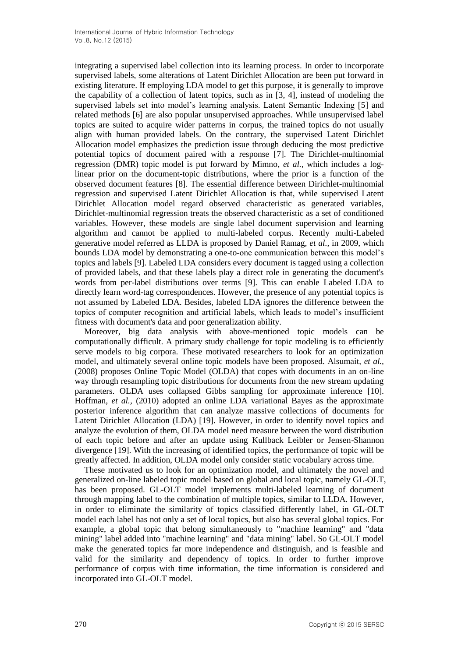integrating a supervised label collection into its learning process. In order to incorporate supervised labels, some alterations of Latent Dirichlet Allocation are been put forward in existing literature. If employing LDA model to get this purpose, it is generally to improve the capability of a collection of latent topics, such as in [3, 4], instead of modeling the supervised labels set into model's learning analysis. Latent Semantic Indexing [5] and related methods [6] are also popular unsupervised approaches. While unsupervised label topics are suited to acquire wider patterns in corpus, the trained topics do not usually align with human provided labels. On the contrary, the supervised Latent Dirichlet Allocation model emphasizes the prediction issue through deducing the most predictive potential topics of document paired with a response [7]. The Dirichlet-multinomial regression (DMR) topic model is put forward by Mimno, *et al.,* which includes a loglinear prior on the document-topic distributions, where the prior is a function of the observed document features [8]. The essential difference between Dirichlet-multinomial regression and supervised Latent Dirichlet Allocation is that, while supervised Latent Dirichlet Allocation model regard observed characteristic as generated variables, Dirichlet-multinomial regression treats the observed characteristic as a set of conditioned variables. However, these models are single label document supervision and learning algorithm and cannot be applied to multi-labeled corpus. Recently multi-Labeled generative model referred as LLDA is proposed by Daniel Ramag, *et al.,* in 2009, which bounds LDA model by demonstrating a one-to-one communication between this model's topics and labels [9]. Labeled LDA considers every document is tagged using a collection of provided labels, and that these labels play a direct role in generating the document's words from per-label distributions over terms [9]. This can enable Labeled LDA to directly learn word-tag correspondences. However, the presence of any potential topics is not assumed by Labeled LDA. Besides, labeled LDA ignores the difference between the topics of computer recognition and artificial labels, which leads to model's insufficient fitness with document's data and poor generalization ability.

Moreover, big data analysis with above-mentioned topic models can be computationally difficult. A primary study challenge for topic modeling is to efficiently serve models to big corpora. These motivated researchers to look for an optimization model, and ultimately several online topic models have been proposed. Alsumait, *et al.,* (2008) proposes Online Topic Model (OLDA) that copes with documents in an on-line way through resampling topic distributions for documents from the new stream updating parameters. OLDA uses collapsed Gibbs sampling for approximate inference [10]. Hoffman, *et al.,* (2010) adopted an online LDA variational Bayes as the approximate posterior inference algorithm that can analyze massive collections of documents for Latent Dirichlet Allocation (LDA) [19]. However, in order to identify novel topics and analyze the evolution of them, OLDA model need measure between the word distribution of each topic before and after an update using Kullback Leibler or Jensen-Shannon divergence [19]. With the increasing of identified topics, the performance of topic will be greatly affected. In addition, OLDA model only consider static vocabulary across time.

These motivated us to look for an optimization model, and ultimately the novel and generalized on-line labeled topic model based on global and local topic, namely GL-OLT, has been proposed. GL-OLT model implements multi-labeled learning of document through mapping label to the combination of multiple topics, similar to LLDA. However, in order to eliminate the similarity of topics classified differently label, in GL-OLT model each label has not only a set of local topics, but also has several global topics. For example, a global topic that belong simultaneously to "machine learning" and "data mining" label added into "machine learning" and "data mining" label. So GL-OLT model make the generated topics far more independence and distinguish, and is feasible and valid for the similarity and dependency of topics. In order to further improve performance of corpus with time information, the time information is considered and incorporated into GL-OLT model.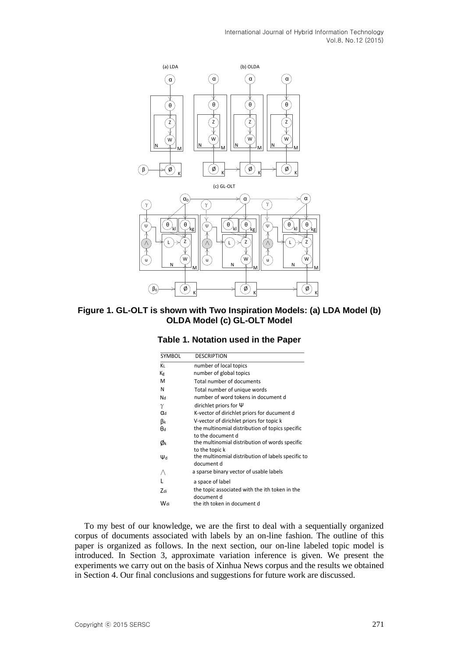

**Figure 1. GL-OLT is shown with Two Inspiration Models: (a) LDA Model (b) OLDA Model (c) GL-OLT Model**

| SYMBOL | <b>DESCRIPTION</b>                                 |
|--------|----------------------------------------------------|
| ΚL     | number of local topics                             |
| Кg     | number of global topics                            |
| M      | Total number of documents                          |
| N      | Total number of unique words                       |
| Nd     | number of word tokens in document d                |
| γ      | dirichlet priors for $\Psi$                        |
| αd     | K-vector of dirichlet priors for ducument d        |
| βĸ     | V-vector of dirichlet priors for topic k           |
| θd     | the multinomial distribution of topics specific    |
|        | to the document d                                  |
| Øĸ     | the multinomial distribution of words specific     |
|        | to the topic k                                     |
| Ψd     | the multinomial distribution of labels specific to |
|        | document d                                         |
|        | a sparse binary vector of usable labels            |
|        | a space of label                                   |
| Zdi    | the topic associated with the ith token in the     |
|        | document d                                         |
| Wdi    | the ith token in document d                        |

#### **Table 1. Notation used in the Paper**

To my best of our knowledge, we are the first to deal with a sequentially organized corpus of documents associated with labels by an on-line fashion. The outline of this paper is organized as follows. In the next section, our on-line labeled topic model is introduced. In Section 3, approximate variation inference is given. We present the experiments we carry out on the basis of Xinhua News corpus and the results we obtained in Section 4. Our final conclusions and suggestions for future work are discussed.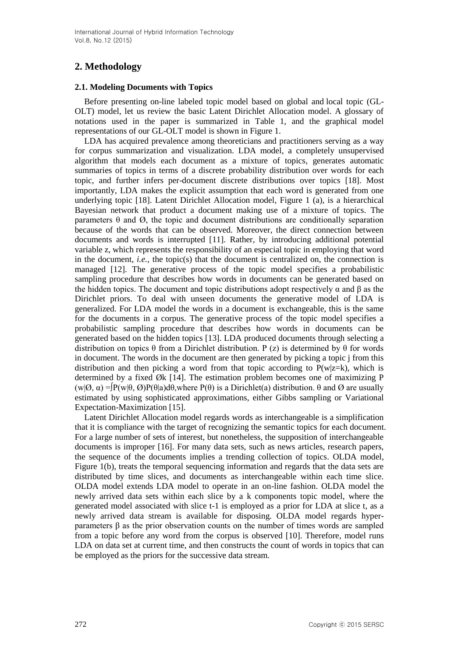# **2. Methodology**

# **2.1. Modeling Documents with Topics**

Before presenting on-line labeled topic model based on global and local topic (GL-OLT) model, let us review the basic Latent Dirichlet Allocation model. A glossary of notations used in the paper is summarized in Table 1, and the graphical model representations of our GL-OLT model is shown in Figure 1.

LDA has acquired prevalence among theoreticians and practitioners serving as a way for corpus summarization and visualization. LDA model, a completely unsupervised algorithm that models each document as a mixture of topics, generates automatic summaries of topics in terms of a discrete probability distribution over words for each topic, and further infers per-document discrete distributions over topics [18]. Most importantly, LDA makes the explicit assumption that each word is generated from one underlying topic [18]. Latent Dirichlet Allocation model, Figure 1 (a), is a hierarchical Bayesian network that product a document making use of a mixture of topics. The parameters  $\theta$  and  $\varnothing$ , the topic and document distributions are conditionally separation because of the words that can be observed. Moreover, the direct connection between documents and words is interrupted [11]. Rather, by introducing additional potential variable z, which represents the responsibility of an especial topic in employing that word in the document, *i.e.,* the topic(s) that the document is centralized on, the connection is managed [12]. The generative process of the topic model specifies a probabilistic sampling procedure that describes how words in documents can be generated based on the hidden topics. The document and topic distributions adopt respectively  $\alpha$  and  $\beta$  as the Dirichlet priors. To deal with unseen documents the generative model of LDA is generalized. For LDA model the words in a document is exchangeable, this is the same for the documents in a corpus. The generative process of the topic model specifies a probabilistic sampling procedure that describes how words in documents can be generated based on the hidden topics [13]. LDA produced documents through selecting a distribution on topics θ from a Dirichlet distribution. P (z) is determined by θ for words in document. The words in the document are then generated by picking a topic j from this distribution and then picking a word from that topic according to  $P(w|z=k)$ , which is determined by a fixed Øk [14]. The estimation problem becomes one of maximizing P (w| $\varnothing$ ,  $\alpha$ ) = $\varphi$ [w| $\theta$ ,  $\varnothing$ )P( $\theta$ |a)d $\theta$ ,where P( $\theta$ ) is a Dirichlet(a) distribution.  $\theta$  and  $\varnothing$  are usually estimated by using sophisticated approximations, either Gibbs sampling or Variational Expectation-Maximization [15].

Latent Dirichlet Allocation model regards words as interchangeable is a simplification that it is compliance with the target of recognizing the semantic topics for each document. For a large number of sets of interest, but nonetheless, the supposition of interchangeable documents is improper [16]. For many data sets, such as news articles, research papers, the sequence of the documents implies a trending collection of topics. OLDA model, Figure 1(b), treats the temporal sequencing information and regards that the data sets are distributed by time slices, and documents as interchangeable within each time slice. OLDA model extends LDA model to operate in an on-line fashion. OLDA model the newly arrived data sets within each slice by a k components topic model, where the generated model associated with slice t-1 is employed as a prior for LDA at slice t, as a newly arrived data stream is available for disposing. OLDA model regards hyperparameters β as the prior observation counts on the number of times words are sampled from a topic before any word from the corpus is observed [10]. Therefore, model runs LDA on data set at current time, and then constructs the count of words in topics that can be employed as the priors for the successive data stream.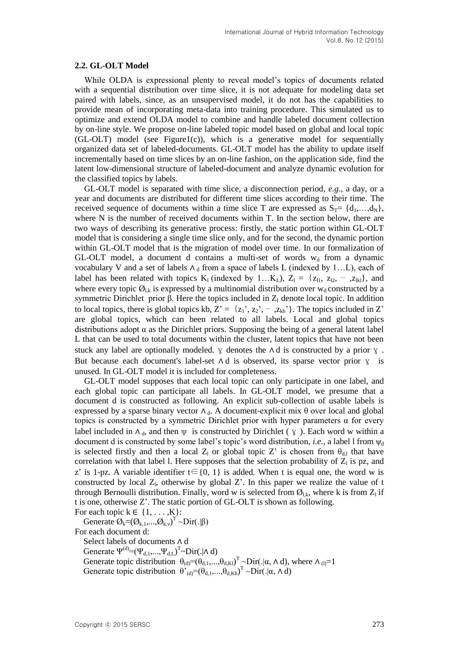#### **2.2. GL-OLT Model**

While OLDA is expressional plenty to reveal model's topics of documents related with a sequential distribution over time slice, it is not adequate for modeling data set paired with labels, since, as an unsupervised model, it do not has the capabilities to provide mean of incorporating meta-data into training procedure. This simulated us to optimize and extend OLDA model to combine and handle labeled document collection by on-line style. We propose on-line labeled topic model based on global and local topic (GL-OLT) model (see Figure1(c)), which is a generative model for sequentially organized data set of labeled-documents. GL-OLT model has the ability to update itself incrementally based on time slices by an on-line fashion, on the application side, find the latent low-dimensional structure of labeled-document and analyze dynamic evolution for the classified topics by labels.

GL-OLT model is separated with time slice, a disconnection period, *e.g.,* a day, or a year and documents are distributed for different time slices according to their time. The received sequence of documents within a time slice T are expressed as  $S_T = \{d_1, \ldots, d_N\},\$ where N is the number of received documents within T. In the section below, there are two ways of describing its generative process: firstly, the static portion within GL-OLT model that is considering a single time slice only, and for the second, the dynamic portion within GL-OLT model that is the migration of model over time. In our formalization of GL-OLT model, a document d contains a multi-set of words  $w_d$  from a dynamic vocabulary V and a set of labels  $\Lambda_d$  from a space of labels L (indexed by 1...L), each of label has been related with topics K<sub>l</sub> (indexed by 1…K<sub>L</sub>), Z<sub>l</sub> = {z<sub>l1</sub>, z<sub>l2</sub>, <sup>…</sup> ,z<sub>lkl</sub>}, and where every topic  $\mathcal{O}_{1k}$  is expressed by a multinomial distribution over  $w_d$  constructed by a symmetric Dirichlet prior  $\beta$ . Here the topics included in  $Z_1$  denote local topic. In addition to local topics, there is global topics kb,  $Z' = \{z_1', z_2', \dots, z_{kb'}\}$ . The topics included in Z' are global topics, which can been related to all labels. Local and global topics distributions adopt  $\alpha$  as the Dirichlet priors. Supposing the being of a general latent label L that can be used to total documents within the cluster, latent topics that have not been stuck any label are optionally modeled.  $\gamma$  denotes the  $\Lambda$  d is constructed by a prior  $\gamma$ . But because each document's label-set  $\wedge$  d is observed, its sparse vector prior  $\chi$  is unused. In GL-OLT model it is included for completeness.

GL-OLT model supposes that each local topic can only participate in one label, and each global topic can participate all labels. In GL-OLT model, we presume that a document d is constructed as following. An explicit sub-collection of usable labels is expressed by a sparse binary vector  $\Lambda_d$ . A document-explicit mix  $\theta$  over local and global topics is constructed by a symmetric Dirichlet prior with hyper parameters α for every label included in  $\Lambda_{d}$ , and then  $\psi$  is constructed by Dirichlet ( $\chi$ ). Each word w within a document d is constructed by some label's topic's word distribution, *i.e.*, a label l from  $\psi_d$ is selected firstly and then a local Z<sub>l</sub> or global topic Z' is chosen from  $\theta_{d,l}$  that have correlation with that label 1. Here supposes that the selection probability of  $Z<sub>1</sub>$  is pz, and z' is 1-pz. A variable identifier  $t \in \{0, 1\}$  is added. When t is equal one, the word w is constructed by local  $Z<sub>l</sub>$ , otherwise by global  $Z<sub>l</sub>$ . In this paper we realize the value of t through Bernoulli distribution. Finally, word w is selected from  $\mathcal{O}_{l,k}$ , where k is from  $Z_l$  if t is one, otherwise Z'. The static portion of GL-OLT is shown as following.

For each topic  $k \in \{1, \ldots, K\}$ :

Generate  $\mathcal{O}_k = (\mathcal{O}_{k,1},...,\mathcal{O}_{k,v})^T \sim \text{Dir}(.|\beta)$ 

For each document d:

Select labels of documents ∧ d Generate  $\Psi^{(d)} = (\Psi_{d,1}, ..., \Psi_{d,L})^T \sim Dir(. | \Lambda d)$ Generate topic distribution  $\theta_{(d)} = (\theta_{d,1},...,\theta_{d,K})^T \sim \text{Dir}(.|\alpha, \Lambda d)$ , where  $\Lambda_{(l)} = 1$ Generate topic distribution  $\theta_{(d)}^{\prime} = (\theta_{d,1},...,\theta_{d,Kb})^{\text{T}} \sim \text{Dir}(.|\alpha, \Lambda d)$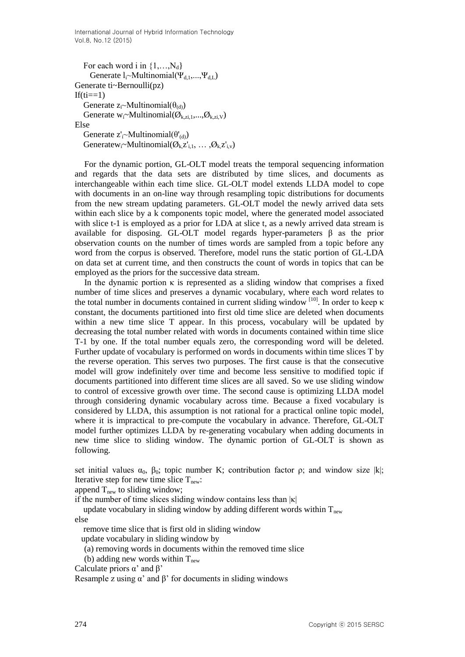For each word i in  $\{1,...,N_d\}$ Generate  $l_i$ ~Multinomial( $\Psi_{d,1},..., \Psi_{d,L}$ ) Generate ti~Bernoulli(pz)  $If$ (ti==1) Generate  $z_i \sim \text{Multinomial}(\theta_{(d)})$ Generate  $w_i$ ~Multinomial( $\mathcal{O}_{k,zi,1},..., \mathcal{O}_{k,zi,V}$ ) Else Generate  $z'_{i}$ ~Multinomial( $\theta'_{(d)}$ ) Generatew<sub>i</sub>~Multinomial( $\mathcal{O}_{k}z'_{i,1}, \ldots, \mathcal{O}_{k}z'_{i,v}$ )

For the dynamic portion, GL-OLT model treats the temporal sequencing information and regards that the data sets are distributed by time slices, and documents as interchangeable within each time slice. GL-OLT model extends LLDA model to cope with documents in an on-line way through resampling topic distributions for documents from the new stream updating parameters. GL-OLT model the newly arrived data sets within each slice by a k components topic model, where the generated model associated with slice t-1 is employed as a prior for LDA at slice t, as a newly arrived data stream is available for disposing. GL-OLT model regards hyper-parameters β as the prior observation counts on the number of times words are sampled from a topic before any word from the corpus is observed. Therefore, model runs the static portion of GL-LDA on data set at current time, and then constructs the count of words in topics that can be employed as the priors for the successive data stream.

In the dynamic portion  $\kappa$  is represented as a sliding window that comprises a fixed number of time slices and preserves a dynamic vocabulary, where each word relates to the total number in documents contained in current sliding window  $\frac{100}{10}$ . In order to keep  $\kappa$ constant, the documents partitioned into first old time slice are deleted when documents within a new time slice T appear. In this process, vocabulary will be updated by decreasing the total number related with words in documents contained within time slice T-1 by one. If the total number equals zero, the corresponding word will be deleted. Further update of vocabulary is performed on words in documents within time slices T by the reverse operation. This serves two purposes. The first cause is that the consecutive model will grow indefinitely over time and become less sensitive to modified topic if documents partitioned into different time slices are all saved. So we use sliding window to control of excessive growth over time. The second cause is optimizing LLDA model through considering dynamic vocabulary across time. Because a fixed vocabulary is considered by LLDA, this assumption is not rational for a practical online topic model, where it is impractical to pre-compute the vocabulary in advance. Therefore, GL-OLT model further optimizes LLDA by re-generating vocabulary when adding documents in new time slice to sliding window. The dynamic portion of GL-OLT is shown as following.

set initial values  $\alpha_0$ ,  $\beta_0$ ; topic number K; contribution factor  $\rho$ ; and window size |k|; Iterative step for new time slice  $T_{\text{new}}$ :

append  $T_{\text{new}}$  to sliding window;

if the number of time slices sliding window contains less than  $|\kappa|$ 

update vocabulary in sliding window by adding different words within  $T_{new}$ else

remove time slice that is first old in sliding window

update vocabulary in sliding window by

(a) removing words in documents within the removed time slice

- (b) adding new words within  $T_{\text{new}}$
- Calculate priors  $\alpha'$  and  $\beta'$

Resample z using  $\alpha'$  and  $\beta'$  for documents in sliding windows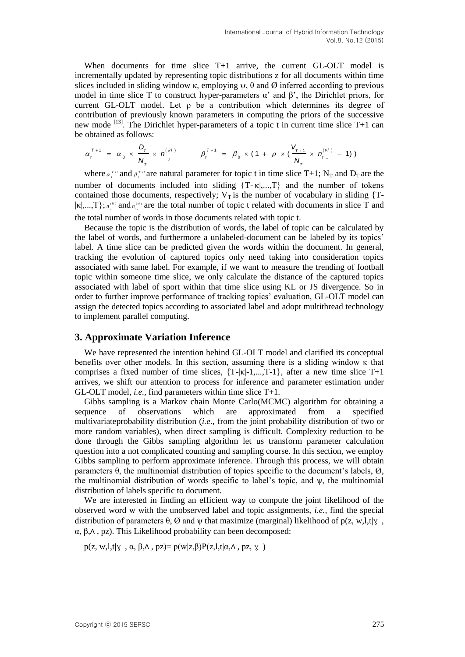When documents for time slice T+1 arrive, the current GL-OLT model is incrementally updated by representing topic distributions z for all documents within time slices included in sliding window κ, employing  $\psi$ ,  $\theta$  and  $\varnothing$  inferred according to previous model in time slice T to construct hyper-parameters  $\alpha'$  and  $\beta'$ , the Dirichlet priors, for current GL-OLT model. Let ρ be a contribution which determines its degree of contribution of previously known parameters in computing the priors of the successive new mode <sup>[13]</sup>. The Dirichlet hyper-parameters of a topic t in current time slice T+1 can<br>be obtained as follows:<br> $\alpha^{T+1} = \alpha_{X} \times \frac{D_T}{T} \times n^{(ki)}$   $\beta^{T+1} = \beta_{X} \times (1 + \rho \times (\frac{V_{T+1}}{T} \times n^{(vi)} - 1))$ be obtained as follows:

obtained as follows:  
\n
$$
\alpha_t^{\tau+1} = \alpha_0 \times \frac{D_{\tau}}{N_{\tau}} \times n_{\tau}^{(k)}
$$
\n
$$
\beta_t^{\tau+1} = \beta_0 \times (1 + \rho \times (\frac{V_{\tau+1}}{N_{\tau}} \times n_{\tau}^{(k)}) - 1))
$$

where  $\alpha_i^{T+1}$  and  $\beta_i^{T+1}$  are natural parameter for topic t in time slice T+1; N<sub>T</sub> and D<sub>T</sub> are the number of documents included into sliding  $\{T-|\kappa|, \ldots, T\}$  and the number of tokens contained those documents, respectively;  $V_T$  is the number of vocabulary in sliding {T- $|\kappa|, \ldots, \text{T}$ ;  $n_{\mu}^{(n)}$  and  $n_{\mu}^{(n)}$  are the total number of topic t related with documents in slice T and the total number of words in those documents related with topic t.

Because the topic is the distribution of words, the label of topic can be calculated by the label of words, and furthermore a unlabeled-document can be labeled by its topics' label. A time slice can be predicted given the words within the document. In general, tracking the evolution of captured topics only need taking into consideration topics associated with same label. For example, if we want to measure the trending of football topic within someone time slice, we only calculate the distance of the captured topics associated with label of sport within that time slice using KL or JS divergence. So in order to further improve performance of tracking topics' evaluation, GL-OLT model can assign the detected topics according to associated label and adopt multithread technology to implement parallel computing.

# **3. Approximate Variation Inference**

We have represented the intention behind GL-OLT model and clarified its conceptual benefits over other models. In this section, assuming there is a sliding window κ that comprises a fixed number of time slices,  $\{T-|\kappa|-1,\ldots,T-1\}$ , after a new time slice  $T+1$ arrives, we shift our attention to process for inference and parameter estimation under GL-OLT model, *i.e.,* find parameters within time slice T+1.

Gibbs sampling is a [Markov chain Monte Carlo\(](http://en.wikipedia.org/wiki/Markov_chain_Monte_Carlo)MCMC) [algorithm](http://en.wikipedia.org/wiki/Algorithm) for obtaining a sequence of observations which are approximated from a specified [multivariateprobability distribution](http://en.wikipedia.org/wiki/Multivariate_distribution) (*i.e.,* from the [joint probability distribution](http://en.wikipedia.org/wiki/Joint_probability) of two or more [random variables\)](http://en.wikipedia.org/wiki/Random_variables), when direct sampling is difficult. Complexity reduction to be done through the Gibbs sampling algorithm let us transform parameter calculation question into a not complicated counting and sampling course. In this section, we employ Gibbs sampling to perform approximate inference. Through this process, we will obtain parameters θ, the multinomial distribution of topics specific to the document's labels, Ø, the multinomial distribution of words specific to label's topic, and ψ, the multinomial distribution of labels specific to document.

We are interested in finding an efficient way to compute the joint likelihood of the observed word w with the unobserved label and topic assignments, *i.e.,* find the special distribution of parameters  $\theta$ ,  $\varnothing$  and  $\psi$  that maximize (marginal) likelihood of p(z, w,l,t| $\chi$ , α, β,∧ , pz). This Likelihood probability can been decomposed:

 $p(z, w, l, t | y, \alpha, \beta, \Lambda, pz) = p(w | z, \beta) P(z, l, t | \alpha, \Lambda, pz, y)$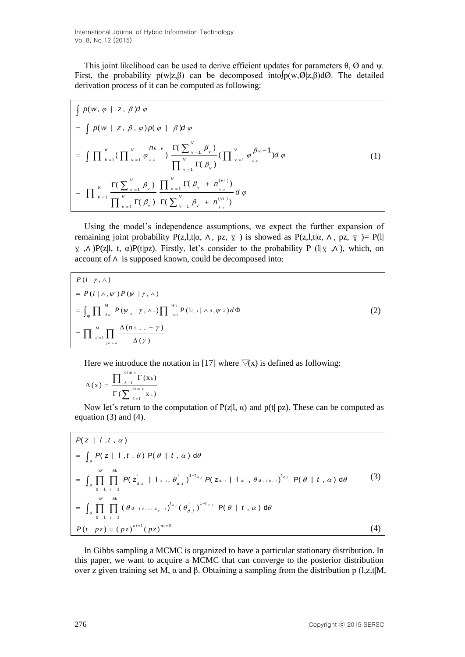This joint likelihood can be used to derive efficient updates for parameters  $\theta$ ,  $\varnothing$  and  $\psi$ . First, the probability  $p(w|z,\beta)$  can be decomposed into  $p(w,\emptyset|z,\beta)d\emptyset$ . The detailed derivation process of it can be computed as following:

$$
\int p(w, \varphi \mid z, \beta) d \varphi
$$
\n
$$
= \int p(w \mid z, \beta, \varphi) p(\varphi \mid \beta) d \varphi
$$
\n
$$
= \int \prod_{k=1}^{K} (\prod_{\nu=1}^{V} \varphi_{k,\nu}^{n_{k,\nu}}) \frac{\Gamma(\sum_{\nu=1}^{V} \beta_{\nu})}{\prod_{\nu=1}^{V} \Gamma(\beta_{\nu})} (\prod_{\nu=1}^{V} \varphi_{k,\nu}^{\beta_{\nu}-1}) d \varphi
$$
\n
$$
= \prod_{k=1}^{K} \frac{\Gamma(\sum_{\nu=1}^{V} \beta_{\nu})}{\prod_{\nu=1}^{V} \Gamma(\beta_{\nu})} \frac{\prod_{\nu=1}^{V} \Gamma(\beta_{\nu} + n_{k,\nu}^{(vi)})}{\Gamma(\sum_{\nu=1}^{V} \beta_{\nu} + n_{k,\nu}^{(vi)})} d \varphi
$$
\n(1)

Using the model's independence assumptions, we expect the further expansion of remaining joint probability P(z,l,t|α, Λ, pz, γ) is showed as P(z,l,t|α, Λ, pz, γ) = P(l| γ ,∧ )P(z|l, t, α)P(t|pz). Firstly, let's consider to the probability P (l|γ ,∧ ), which, on account of ∧ is supposed known, could be decomposed into:

$$
P(l | \gamma, \land)
$$
  
=  $P(l | \land, \psi) P(\psi | \gamma, \land)$   
=  $\int_{\Phi} \prod_{d=1}^{M} P(\psi_d | \gamma, \land \land) \prod_{i=1}^{W_d} P(l_{d,i} | \land \land, \psi_d) d\Phi$  (2)  
=  $\prod_{d=1}^{M} \prod_{j \in \land d} \frac{\Delta(n_{d,i...} + \gamma)}{\Delta(\gamma)}$ 

Here we introduce the notation in [17] where  $\overline{\vee}(x)$  is defined as following:

$$
\Delta(x) = \frac{\prod_{k=1}^{\dim x} \Gamma(x_k)}{\Gamma(\sum_{k=1}^{\dim x} x_k)}
$$

Now let's return to the computation of  $P(z|l, \alpha)$  and  $p(t|pz)$ . These can be computed as

equation (3) and (4).  
\n
$$
P(z | I, t, \alpha)
$$
\n
$$
= \int_{\theta} P(z | I, t, \theta) P(\theta | t, \alpha) d\theta
$$
\n
$$
= \int_{\theta} \prod_{d=1}^{M} \prod_{i=1}^{M} P(z_{d,i} | I_{d,i}, \theta_{d,i}^{i})^{1-t_{d,i}} P(z_{d,i} | I_{d,i}, \theta_{d,i})^{t_{d,i}} P(\theta | t, \alpha) d\theta
$$
\n(3)\n
$$
= \int_{\theta} \prod_{d=1}^{M} \prod_{i=1}^{M} (\theta_{d,i,d,i}, z_{d,i})^{t_{d,i}} (\theta_{d,i}^{i})^{1-t_{d,i}} P(\theta | t, \alpha) d\theta
$$
\n(4)

In Gibbs sampling a MCMC is organized to have a particular stationary distribution. In this paper, we want to acquire a MCMC that can converge to the posterior distribution over z given training set M, α and β. Obtaining a sampling from the distribution p (l,z,t|M,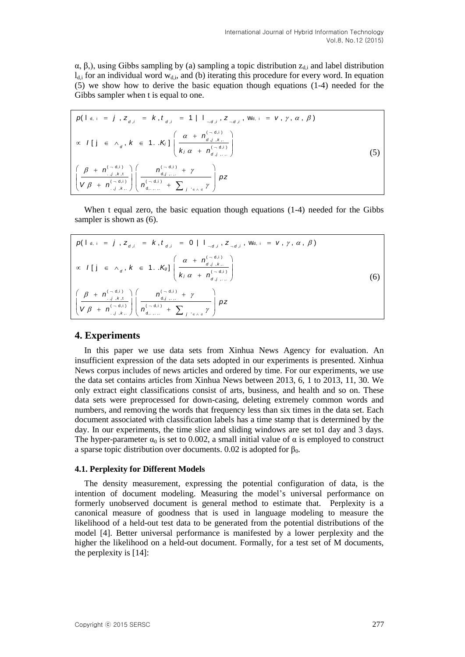$α, β$ ), using Gibbs sampling by (a) sampling a topic distribution  $z_{d,i}$  and label distribution  $l_{\rm di}$  for an individual word  $w_{\rm di}$ , and (b) iterating this procedure for every word. In equation (5) we show how to derive the basic equation though equations (1-4) needed for the Gibbs sampler when t is equal to one.

$$
p(1_{d,i} = j, z_{d,i} = k, t_{d,i} = 1 | 1_{\neg d,i}, z_{\neg d,i}, w_{d,i} = v, \gamma, \alpha, \beta)
$$
  
\n
$$
\propto I[j \in \wedge_{d}, k \in 1..K] \left( \frac{\alpha + n_{d,j,k}^{(-d,i)}}{k_{i} \alpha + n_{d,j,m}^{(-d,i)}} \right)
$$
  
\n
$$
\left( \frac{\beta + n_{j,k,t}^{(-d,i)}}{v_{\beta} + n_{j,k,t}^{(-d,i)}} \right) \left( \frac{n_{d,j,m}^{(-d,i)} + \gamma}{n_{d,j,m}^{(-d,i)} + \sum_{j \in \wedge d} \gamma} \right) pz
$$
\n(5)

When t equal zero, the basic equation though equations (1-4) needed for the Gibbs sampler is shown as  $(6)$ .

| $\alpha$ sampled to shown as $(0)$ .                                                                                                                                                   |     |
|----------------------------------------------------------------------------------------------------------------------------------------------------------------------------------------|-----|
| $p( \text{I}_{d, i} = j, z_{d,i} = k, t_{d,i} = 0   \text{I}_{d,i}, z_{d,i}$ , Wd, i = $V, \gamma, \alpha, \beta)$                                                                     |     |
| $\alpha$ $I[j] \in \Lambda_d, k \in 1K_g$ ] $\left( \frac{\alpha + n_{d,j,k}^{(-a,j)}}{k_j \alpha + n_{d,j,k}^{(-a,j)}} \right)$                                                       | (6) |
| $\left(\frac{\beta + n_{.,j,k,t}^{(-d,i)}}{\gamma \beta + n_{.,j,k,t}^{(-d,i)}}\right)\left(\frac{n_{d,j,}^{(-d,i)} + \gamma}{n_{d,1,}^{(-d,i)} + \sum_{j \in [d,d]} \gamma}\right)pz$ |     |

# **4. Experiments**

In this paper we use data sets from Xinhua News Agency for evaluation. An insufficient expression of the data sets adopted in our experiments is presented. Xinhua News corpus includes of news articles and ordered by time. For our experiments, we use the data set contains articles from Xinhua News between 2013, 6, 1 to 2013, 11, 30. We only extract eight classifications consist of arts, business, and health and so on. These data sets were preprocessed for down-casing, deleting extremely common words and numbers, and removing the words that frequency less than six times in the data set. Each document associated with classification labels has a time stamp that is determined by the day. In our experiments, the time slice and sliding windows are set to1 day and 3 days. The hyper-parameter  $\alpha_0$  is set to 0.002, a small initial value of  $\alpha$  is employed to construct a sparse topic distribution over documents. 0.02 is adopted for  $β_0$ .

# **4.1. Perplexity for Different Models**

The density measurement, expressing the potential configuration of data, is the intention of document modeling. Measuring the model's universal performance on formerly unobserved document is general method to estimate that. Perplexity is a canonical measure of goodness that is used in language modeling to measure the likelihood of a held-out test data to be generated from the potential distributions of the model [4]. Better universal performance is manifested by a lower perplexity and the higher the likelihood on a held-out document. Formally, for a test set of M documents, the perplexity is [14]: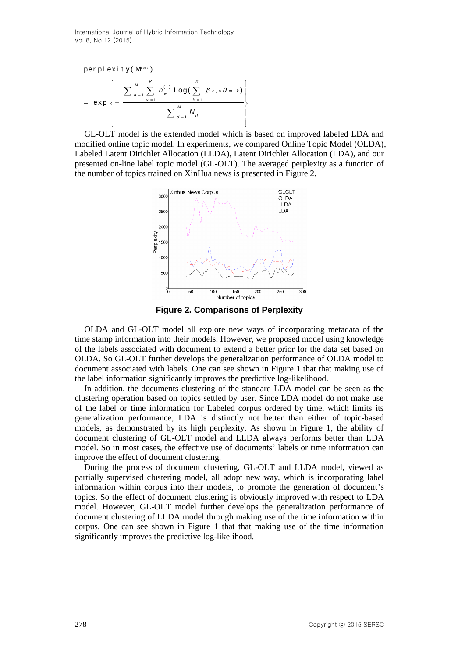t ex t ( t ) , , 1 1 1 1 per pl ex i t y ( M ) l og( ) ex p *V K M k v m k d m v k M d d n N* 

GL-OLT model is the extended model which is based on improved labeled LDA and modified online topic model. In experiments, we compared Online Topic Model (OLDA), Labeled Latent Dirichlet Allocation (LLDA), Latent Dirichlet Allocation (LDA), and our presented on-line label topic model (GL-OLT). The averaged perplexity as a function of the number of topics trained on XinHua news is presented in Figure 2.



**Figure 2. Comparisons of Perplexity**

OLDA and GL-OLT model all explore new ways of incorporating metadata of the time stamp information into their models. However, we proposed model using knowledge of the labels associated with document to extend a better prior for the data set based on OLDA. So GL-OLT further develops the generalization performance of OLDA model to document associated with labels. One can see shown in Figure 1 that that making use of the label information significantly improves the predictive log-likelihood.

In addition, the documents clustering of the standard LDA model can be seen as the clustering operation based on topics settled by user. Since LDA model do not make use of the label or time information for Labeled corpus ordered by time, which limits its generalization performance, LDA is distinctly not better than either of topic-based models, as demonstrated by its high perplexity. As shown in Figure 1, the ability of document clustering of GL-OLT model and LLDA always performs better than LDA model. So in most cases, the effective use of documents' labels or time information can improve the effect of document clustering.

During the process of document clustering, GL-OLT and LLDA model, viewed as partially supervised clustering model, all adopt new way, which is incorporating label information within corpus into their models, to promote the generation of document's topics. So the effect of document clustering is obviously improved with respect to LDA model. However, GL-OLT model further develops the generalization performance of document clustering of LLDA model through making use of the time information within corpus. One can see shown in Figure 1 that that making use of the time information significantly improves the predictive log-likelihood.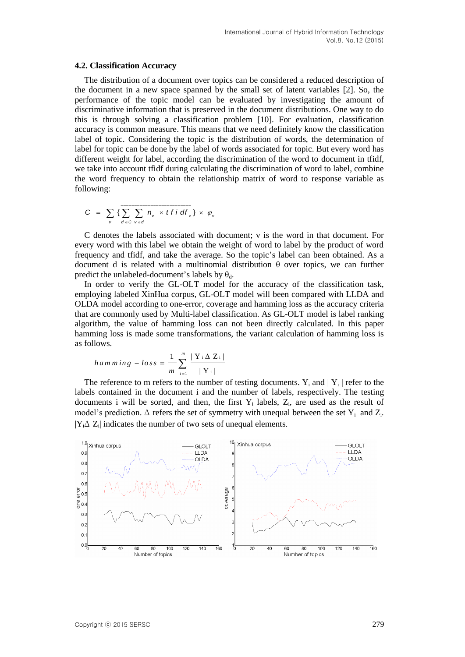#### **4.2. Classification Accuracy**

The distribution of a document over topics can be considered a reduced description of the document in a new space spanned by the small set of latent variables [2]. So, the performance of the topic model can be evaluated by investigating the amount of discriminative information that is preserved in the document distributions. One way to do this is through solving a classification problem [10]. For evaluation, classification accuracy is common measure. This means that we need definitely know the classification label of topic. Considering the topic is the distribution of words, the determination of label for topic can be done by the label of words associated for topic. But every word has different weight for label, according the discrimination of the word to document in tfidf, we take into account tfidf during calculating the discrimination of word to label, combine the word frequency to obtain the relationship matrix of word to response variable as following:

$$
C = \sum_{v} \{ \sum_{d \in C} \sum_{v \in d} n_v \times t \text{ if } df_v \} \times \varphi_v
$$

C denotes the labels associated with document; v is the word in that document. For every word with this label we obtain the weight of word to label by the product of word frequency and tfidf, and take the average. So the topic's label can been obtained. As a document d is related with a multinomial distribution θ over topics, we can further predict the unlabeled-document's labels by  $\theta_d$ .

In order to verify the GL-OLT model for the accuracy of the classification task, employing labeled XinHua corpus, GL-OLT model will been compared with LLDA and OLDA model according to one-error, coverage and hamming loss as the accuracy criteria that are commonly used by Multi-label classification. As GL-OLT model is label ranking algorithm, the value of hamming loss can not been directly calculated. In this paper hamming loss is made some transformations, the variant calculation of hamming loss is as follows.

$$
hamming - loss = \frac{1}{m} \sum_{i=1}^{m} \frac{|\mathbf{Y} \cdot \Delta \mathbf{Z}_i|}{|\mathbf{Y} \cdot|}
$$

The reference to m refers to the number of testing documents.  $Y_i$  and  $|Y_i|$  refer to the labels contained in the document i and the number of labels, respectively. The testing documents i will be sorted, and then, the first  $Y_i$  labels,  $Z_i$ , are used as the result of model's prediction.  $\Delta$  refers the set of symmetry with unequal between the set  $Y_i$  and  $Z_i$ .  $|Y_i \Delta Z_i|$  indicates the number of two sets of unequal elements.

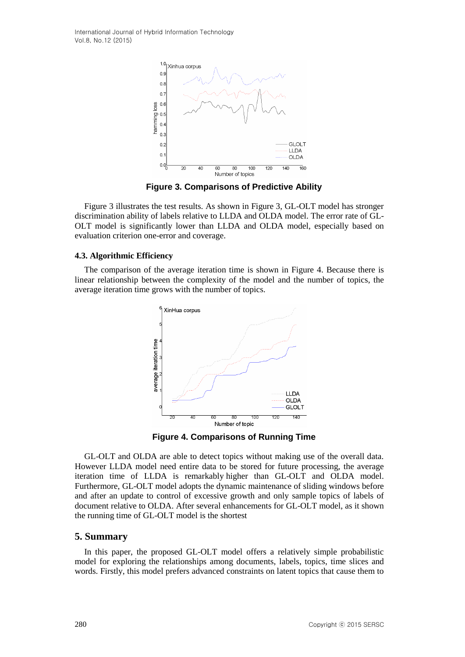

**Figure 3. Comparisons of Predictive Ability**

Figure 3 illustrates the test results. As shown in Figure 3, GL-OLT model has stronger discrimination ability of labels relative to LLDA and OLDA model. The error rate of GL-OLT model is significantly lower than LLDA and OLDA model, especially based on evaluation criterion one-error and coverage.

### **4.3. Algorithmic Efficiency**

The comparison of the average iteration time is shown in Figure 4. Because there is linear relationship between the complexity of the model and the number of topics, the average iteration time grows with the number of topics.



**Figure 4. Comparisons of Running Time**

GL-OLT and OLDA are able to detect topics without making use of the overall data. However LLDA model need entire data to be stored for future processing, the average iteration time of LLDA is remarkably higher than GL-OLT and OLDA model. Furthermore, GL-OLT model adopts the [dynamic](http://dict.youdao.com/w/dynamic/) [maintenance](http://dict.youdao.com/w/maintenance/) of sliding windows before and after an update to control of excessive growth and only sample topics of labels of document relative to OLDA. After several enhancements for GL-OLT model, as it shown the running time of GL-OLT model is the shortest

## **5. Summary**

In this paper, the proposed GL-OLT model offers a relatively simple probabilistic model for exploring the relationships among documents, labels, topics, time slices and words. Firstly, this model prefers advanced constraints on latent topics that cause them to